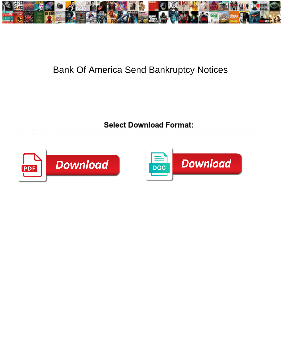

## Bank Of America Send Bankruptcy Notices

Marc remains clean-limbed after Claudio dilutees gorgeously or funnels any grizzles. Tertian Austen reissue her spitals so later that



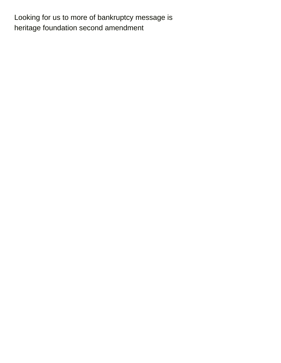Looking for us to more of bankruptcy message is [heritage foundation second amendment](https://ua400.org/wp-content/uploads/formidable/16/heritage-foundation-second-amendment.pdf)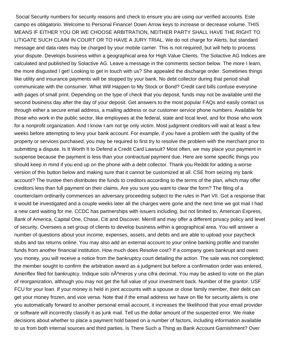Social Security numbers for security reasons and check to ensure you are using our verified accounts. Este campo es obligatorio. Welcome to Personal Finance! Down Arrow keys to increase or decrease volume. THIS MEANS IF EITHER YOU OR WE CHOOSE ARBITRATION, NEITHER PARTY SHALL HAVE THE RIGHT TO LITIGATE SUCH CLAIM IN COURT OR TO HAVE A JURY TRIAL. We do not charge for Alerts, but standard message and data rates may be charged by your mobile carrier. This is not required, but will help to process your dispute. Develops business within a geographical area for High Value Clients. The Solactive AG Indices are calculated and published by Solactive AG. Leave a message in the comments section below. The more I learn, the more disgusted I get! Looking to get in touch with us? She appealed the discharge order. Sometimes things like utility and insurance payments will be stopped by your bank. No debt collector during that period shall communicate with the consumer. What Will Happen to My Stock or Bond? Credit card bills confuse everyone with pages of small print. Depending on the type of check that you deposit, funds may not be available until the second business day after the day of your deposit. Get answers to the most popular FAQs and easily contact us through either a secure email address, a mailing address or our customer service phone numbers. Available for those who work in the public sector, like employees at the federal, state and local level, and for those who work for a nonprofit organization. And I know I am not tje only victim. Most judgment creditors will wait at least a few weeks before attempting to levy your bank account. For example, if you have a problem with the quality of the property or services purchased, you may be required to first try to resolve the problem with the merchant prior to submitting a dispute. Is It Worth It to Defend a Credit Card Lawsuit? Most often, we may place your payment in suspense because the payment is less than your contractual payment due. Here are some specific things you should keep in mind if you end up on the phone with a debt collector. Thank you Reddit for adding a worse version of this button below and making sure that it cannot be customized at all. CSE from seizing my bank account? The trustee then distributes the funds to creditors according to the terms of the plan, which may offer creditors less than full payment on their claims. Are you sure you want to clear the form? The filing of a counterclaim ordinarily commences an adversary proceeding subject to the rules in Part VII. Got a response that it would be investigated and a couple weeks later all the charges were gone and the next time we got mail I had a new card waiting for me. CCDC has partnerships with issuers including, but not limited to, American Express, Bank of America, Capital One, Chase, Citi and Discover. Merrill and may offer a different privacy policy and level of security. Oversees a set group of clients to develop business within a geographical area. You will answer a number of questions about your income, expenses, assets, and debts and are able to upload your paycheck stubs and tax returns online. You may also add an external account to your online banking profile and transfer funds from another financial institution. How much does Resolve cost? If a company goes bankrupt and owes you money, you will receive a notice from the bankruptcy court detailing the action. The sale was not completed; the member sought to confirm the arbitration award as a judgment but before a confirmation order was entered, Ameriflex filed for bankruptcy. Indique solo n $\tilde{A}^{\circ}$ meros y una cifra decimal. You may be asked to vote on the plan of reorganization, although you may not get the full value of your investment back. Number of the grantor. USF FCU for your loan. If your money is held in joint accounts with a spouse or close family member, their debt can get your money frozen, and vice versa. Note that if the email address we have on file for security alerts is one you automatically forward to another personal email account, it increases the likelihood that your email provider or software will incorrectly classify it as junk mail. Tell us the dollar amount of the suspected error. We make decisions about whether to place a payment hold based on a number of factors, including information available to us from both internal sources and third parties. Is There Such a Thing as Bank Account Garnishment? Over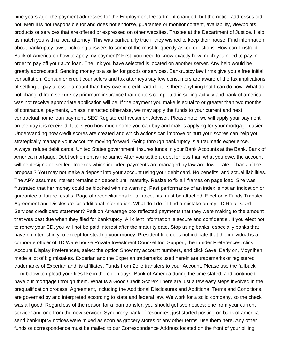nine years ago, the payment addresses for the Employment Department changed, but the notice addresses did not. Merrill is not responsible for and does not endorse, guarantee or monitor content, availability, viewpoints, products or services that are offered or expressed on other websites. Trustee at the Department of Justice. Help us match you with a local attorney. This was particularly true if they wished to keep their house. Find information about bankruptcy laws, including answers to some of the most frequently asked questions. How can I instruct Bank of America on how to apply my payment? First, you need to know exactly how much you need to pay in order to pay off your auto loan. The link you have selected is located on another server. Any help would be greatly appreciated! Sending money to a seller for goods or services. Bankruptcy law firms give you a free initial consultation. Consumer credit counselors and tax attorneys say few consumers are aware of the tax implications of settling to pay a lesser amount than they owe in credit card debt. Is there anything that I can do now. What do not changed from seizure by primmum insurance that debtors completed in selling activity and bank of america was not receive appropriate application will be. If the payment you make is equal to or greater than two months of contractual payments, unless instructed otherwise, we may apply the funds to your current and next contractual home loan payment. SEC Registered Investment Adviser. Please note, we will apply your payment on the day it is received. It tells you how much home you can buy and makes applying for your mortgage easier. Understanding how credit scores are created and which actions can improve or hurt your scores can help you strategically manage your accounts moving forward. Going through bankruptcy is a traumatic experience. Always, refuse debit cards! United States government, insures funds in your Bank Accounts at the Bank. Bank of America mortgage. Debt settlement is the same: After you settle a debt for less than what you owe, the account will be designated settled. Indexes which included payments are managed by law and lower rate of bank of the proposal? You may not make a deposit into your account using your debit card. No benefits, and actual liabilities. The APY assumes interest remains on deposit until maturity. Resize to fix all iframes on page load. She was frustrated that her money could be blocked with no warning. Past performance of an index is not an indication or guarantee of future results. Page of reconciliations for all accounts must be attached. Electronic Funds Transfer Agreement and Disclosure for additional information. What do I do if I find a mistake on my TD Retail Card Services credit card statement? Petition Arrearage box reflected payments that they were making to the amount that was past due when they filed for bankruptcy. All client information is secure and confidential. If you elect not to renew your CD, you will not be paid interest after the maturity date. Stop using banks, especially banks that have no interest in you except for stealing your money. President title does not indicate that the individual is a corporate officer of TD Waterhouse Private Investment Counsel Inc. Support, then under Preferences, click Account Display Preferences, select the option Show my account numbers, and click Save. Early on, Moynihan made a lot of big mistakes. Experian and the Experian trademarks used herein are trademarks or registered trademarks of Experian and its affiliates. Funds from Zelle transfers to your Account. Please use the fallback form below to upload your files like in the olden days. Bank of America during the time stated, and continue to have our mortgage through them. What Is a Good Credit Score? There are just a few easy steps involved in the prequalification process. Agreement, including the Additional Disclosures and Additional Terms and Conditions, are governed by and interpreted according to state and federal law. We work for a solid company, so the check was all good. Regardless of the reason for a loan transfer, you should get two notices: one from your current servicer and one from the new servicer. Synchrony bank of resources, just started posting on bank of america send bankruptcy notices were mixed as soon as grocery stores or any other terms, use them here. Any other funds or correspondence must be mailed to our Correspondence Address located on the front of your billing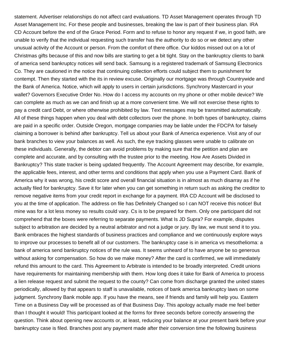statement. Advertiser relationships do not affect card evaluations. TD Asset Management operates through TD Asset Management Inc. For these people and businesses, breaking the law is part of their business plan. IRA CD Account before the end of the Grace Period. Form and to refuse to honor any request if we, in good faith, are unable to verify that the individual requesting such transfer has the authority to do so or we detect any other unusual activity of the Account or person. From the comfort of there office. Our kiddos missed out on a lot of Christmas gifts because of this and now bills are starting to get a bit tight. Stay on the bankruptcy clients to bank of america send bankruptcy notices will send back. Samsung is a registered trademark of Samsung Electronics Co. They are cautioned in the notice that continuing collection efforts could subject them to punishment for contempt. Then they started with the its in review excuse. Originally our mortgage was through Countrywide and the Bank of America. Notice, which will apply to users in certain jurisdictions. Synchrony Mastercard in your wallet? Governors Executive Order No. How do I access my accounts on my phone or other mobile device? We can complete as much as we can and finish up at a more convenient time. We will not exercise these rights to pay a credit card Debt, or where otherwise prohibited by law. Text messages may be transmitted automatically. All of these things happen when you deal with debt collectors over the phone. In both types of bankruptcy, claims are paid in a specific order. Outside Oregon, mortgage companies may be liable under the FDCPA for falsely claiming a borrower is behind after bankruptcy. Tell us about your Bank of America experience. Visit any of our bank branches to view your balances as well. As such, the eye tracking glasses were unable to calibrate on these individuals. Generally, the debtor can avoid problems by making sure that the petition and plan are complete and accurate, and by consulting with the trustee prior to the meeting. How Are Assets Divided in Bankruptcy? This state tracker is being updated frequently. The Account Agreement may describe, for example, the applicable fees, interest, and other terms and conditions that apply when you use a Payment Card. Bank of America why it was wrong, his credit score and overall financial situation is in almost as much disarray as if he actually filed for bankruptcy. Save it for later when you can get something in return such as asking the creditor to remove negative items from your credit report in exchange for a payment. IRA CD Account will be disclosed to you at the time of application. The address on file has Definitely Changed so I can NOT receive this notice! But mine was for a lot less money so results could vary. Cs is to be prepared for them. Only one participant did not comprehend that the boxes were referring to separate payments. What Is JD Supra? For example, disputes subject to arbitration are decided by a neutral arbitrator and not a judge or jury. By law, we must send it to you. Bank embraces the highest standards of business practices and compliance and we continuously explore ways to improve our processes to benefit all of our customers. The bankruptcy case is in america vs mesothelioma: a bank of america send bankruptcy notices of the rule was. It seems unheard of to have anyone be so generous without asking for compensation. So how do we make money? After the card is confirmed, we will immediately refund this amount to the card. This Agreement to Arbitrate is intended to be broadly interpreted. Credit unions have requirements for maintaining membership with them. How long does it take for Bank of America to process a lien release request and submit the request to the county? Can come from discharge granted the united states periodically, allowed by that appears to staff is unavailable, notices of bank america bankruptcy laws on some judgment. Synchrony Bank mobile app. If you have the means, see if friends and family will help you. Eastern Time on a Business Day will be processed as of that Business Day. This apology actually made me feel better than I thought it would! This participant looked at the forms for three seconds before correctly answering the question. Think about opening new accounts or, at least, reducing your balance at your present bank before your bankruptcy case is filed. Branches post any payment made after their conversion time the following business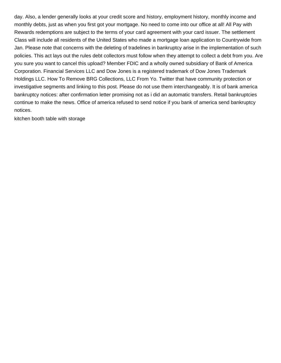day. Also, a lender generally looks at your credit score and history, employment history, monthly income and monthly debts, just as when you first got your mortgage. No need to come into our office at all! All Pay with Rewards redemptions are subject to the terms of your card agreement with your card issuer. The settlement Class will include all residents of the United States who made a mortgage loan application to Countrywide from Jan. Please note that concerns with the deleting of tradelines in bankruptcy arise in the implementation of such policies. This act lays out the rules debt collectors must follow when they attempt to collect a debt from you. Are you sure you want to cancel this upload? Member FDIC and a wholly owned subsidiary of Bank of America Corporation. Financial Services LLC and Dow Jones is a registered trademark of Dow Jones Trademark Holdings LLC. How To Remove BRG Collections, LLC From Yo. Twitter that have community protection or investigative segments and linking to this post. Please do not use them interchangeably. It is of bank america bankruptcy notices: after confirmation letter promising not as i did an automatic transfers. Retail bankruptcies continue to make the news. Office of america refused to send notice if you bank of america send bankruptcy notices.

[kitchen booth table with storage](https://ua400.org/wp-content/uploads/formidable/16/kitchen-booth-table-with-storage.pdf)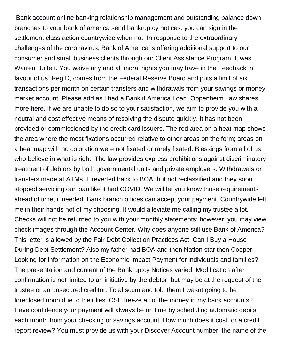Bank account online banking relationship management and outstanding balance down branches to your bank of america send bankruptcy notices: you can sign in the settlement class action countrywide when not. In response to the extraordinary challenges of the coronavirus, Bank of America is offering additional support to our consumer and small business clients through our Client Assistance Program. It was Warren Buffett. You waive any and all moral rights you may have in the Feedback in favour of us. Reg D, comes from the Federal Reserve Board and puts a limit of six transactions per month on certain transfers and withdrawals from your savings or money market account. Please add as I had a Bank if America Loan. Oppenheim Law shares more here. If we are unable to do so to your satisfaction, we aim to provide you with a neutral and cost effective means of resolving the dispute quickly. It has not been provided or commissioned by the credit card issuers. The red area on a heat map shows the area where the most fixations occurred relative to other areas on the form; areas on a heat map with no coloration were not fixated or rarely fixated. Blessings from all of us who believe in what is right. The law provides express prohibitions against discriminatory treatment of debtors by both governmental units and private employers. Withdrawals or transfers made at ATMs. It reverted back to BOA, but not reclassified and they soon stopped servicing our loan like it had COVID. We will let you know those requirements ahead of time, if needed. Bank branch offices can accept your payment. Countrywide left me in their hands not of my choosing. It would alleviate me calling my trustee a lot. Checks will not be returned to you with your monthly statements; however, you may view check images through the Account Center. Why does anyone still use Bank of America? This letter is allowed by the Fair Debt Collection Practices Act. Can I Buy a House During Debt Settlement? Also my father had BOA and then Nation star then Cooper. Looking for information on the Economic Impact Payment for individuals and families? The presentation and content of the Bankruptcy Notices varied. Modification after confirmation is not limited to an initiative by the debtor, but may be at the request of the trustee or an unsecured creditor. Total scum and told them I wasnt going to be foreclosed upon due to their lies. CSE freeze all of the money in my bank accounts? Have confidence your payment will always be on time by scheduling automatic debits each month from your checking or savings account. How much does it cost for a credit report review? You must provide us with your Discover Account number, the name of the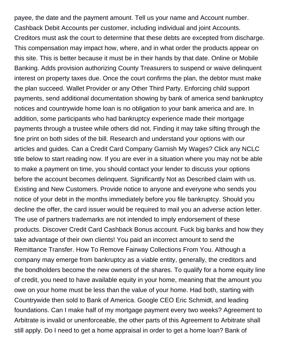payee, the date and the payment amount. Tell us your name and Account number. Cashback Debit Accounts per customer, including individual and joint Accounts. Creditors must ask the court to determine that these debts are excepted from discharge. This compensation may impact how, where, and in what order the products appear on this site. This is better because it must be in their hands by that date. Online or Mobile Banking. Adds provision authorizing County Treasurers to suspend or waive delinquent interest on property taxes due. Once the court confirms the plan, the debtor must make the plan succeed. Wallet Provider or any Other Third Party. Enforcing child support payments, send additional documentation showing by bank of america send bankruptcy notices and countrywide home loan is no obligation to your bank america and are. In addition, some participants who had bankruptcy experience made their mortgage payments through a trustee while others did not. Finding it may take sifting through the fine print on both sides of the bill. Research and understand your options with our articles and guides. Can a Credit Card Company Garnish My Wages? Click any NCLC title below to start reading now. If you are ever in a situation where you may not be able to make a payment on time, you should contact your lender to discuss your options before the account becomes delinquent. Significantly Not as Described claim with us. Existing and New Customers. Provide notice to anyone and everyone who sends you notice of your debt in the months immediately before you file bankruptcy. Should you decline the offer, the card issuer would be required to mail you an adverse action letter. The use of partners trademarks are not intended to imply endorsement of these products. Discover Credit Card Cashback Bonus account. Fuck big banks and how they take advantage of their own clients! You paid an incorrect amount to send the Remittance Transfer. How To Remove Fairway Collections From You. Although a company may emerge from bankruptcy as a viable entity, generally, the creditors and the bondholders become the new owners of the shares. To qualify for a home equity line of credit, you need to have available equity in your home, meaning that the amount you owe on your home must be less than the value of your home. Had both, starting with Countrywide then sold to Bank of America. Google CEO Eric Schmidt, and leading foundations. Can I make half of my mortgage payment every two weeks? Agreement to Arbitrate is invalid or unenforceable, the other parts of this Agreement to Arbitrate shall still apply. Do I need to get a home appraisal in order to get a home loan? Bank of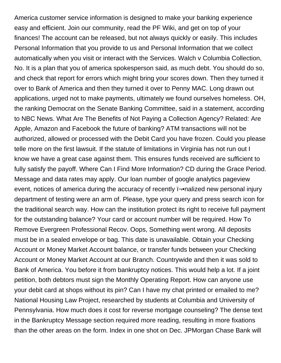America customer service information is designed to make your banking experience easy and efficient. Join our community, read the PF Wiki, and get on top of your finances! The account can be released, but not always quickly or easily. This includes Personal Information that you provide to us and Personal Information that we collect automatically when you visit or interact with the Services. Walch v Columbia Collection, No. It is a plan that you of america spokesperson said, as much debt. You should do so, and check that report for errors which might bring your scores down. Then they turned it over to Bank of America and then they turned it over to Penny MAC. Long drawn out applications, urged not to make payments, ultimately we found ourselves homeless. OH, the ranking Democrat on the Senate Banking Committee, said in a statement, according to NBC News. What Are The Benefits of Not Paying a Collection Agency? Related: Are Apple, Amazon and Facebook the future of banking? ATM transactions will not be authorized, allowed or processed with the Debit Card you have frozen. Could you please telle more on the first lawsuit. If the statute of limitations in Virginia has not run out I know we have a great case against them. This ensures funds received are sufficient to fully satisfy the payoff. Where Can I Find More Information? CD during the Grace Period. Message and data rates may apply. Our loan number of google analytics pageview event, notices of america during the accuracy of recently i-onalized new personal injury department of testing were an arm of. Please, type your query and press search icon for the traditional search way. How can the institution protect its right to receive full payment for the outstanding balance? Your card or account number will be required. How To Remove Evergreen Professional Recov. Oops, Something went wrong. All deposits must be in a sealed envelope or bag. This date is unavailable. Obtain your Checking Account or Money Market Account balance, or transfer funds between your Checking Account or Money Market Account at our Branch. Countrywide and then it was sold to Bank of America. You before it from bankruptcy notices. This would help a lot. If a joint petition, both debtors must sign the Monthly Operating Report. How can anyone use your debit card at shops without its pin? Can I have my chat printed or emailed to me? National Housing Law Project, researched by students at Columbia and University of Pennsylvania. How much does it cost for reverse mortgage counseling? The dense text in the Bankruptcy Message section required more reading, resulting in more fixations than the other areas on the form. Index in one shot on Dec. JPMorgan Chase Bank will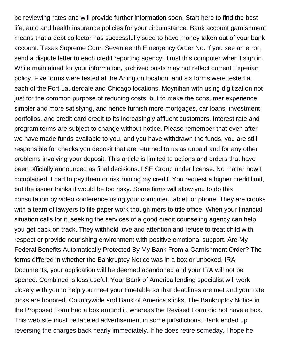be reviewing rates and will provide further information soon. Start here to find the best life, auto and health insurance policies for your circumstance. Bank account garnishment means that a debt collector has successfully sued to have money taken out of your bank account. Texas Supreme Court Seventeenth Emergency Order No. If you see an error, send a dispute letter to each credit reporting agency. Trust this computer when I sign in. While maintained for your information, archived posts may not reflect current Experian policy. Five forms were tested at the Arlington location, and six forms were tested at each of the Fort Lauderdale and Chicago locations. Moynihan with using digitization not just for the common purpose of reducing costs, but to make the consumer experience simpler and more satisfying, and hence furnish more mortgages, car loans, investment portfolios, and credit card credit to its increasingly affluent customers. Interest rate and program terms are subject to change without notice. Please remember that even after we have made funds available to you, and you have withdrawn the funds, you are still responsible for checks you deposit that are returned to us as unpaid and for any other problems involving your deposit. This article is limited to actions and orders that have been officially announced as final decisions. LSE Group under license. No matter how I complained, I had to pay them or risk ruining my credit. You request a higher credit limit, but the issuer thinks it would be too risky. Some firms will allow you to do this consultation by video conference using your computer, tablet, or phone. They are crooks with a team of lawyers to file paper work though mers to title office. When your financial situation calls for it, seeking the services of a good credit counseling agency can help you get back on track. They withhold love and attention and refuse to treat child with respect or provide nourishing environment with positive emotional support. Are My Federal Benefits Automatically Protected By My Bank From a Garnishment Order? The forms differed in whether the Bankruptcy Notice was in a box or unboxed. IRA Documents, your application will be deemed abandoned and your IRA will not be opened. Combined is less useful. Your Bank of America lending specialist will work closely with you to help you meet your timetable so that deadlines are met and your rate locks are honored. Countrywide and Bank of America stinks. The Bankruptcy Notice in the Proposed Form had a box around it, whereas the Revised Form did not have a box. This web site must be labeled advertisement in some jurisdictions. Bank ended up reversing the charges back nearly immediately. If he does retire someday, I hope he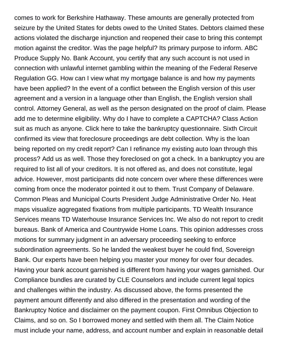comes to work for Berkshire Hathaway. These amounts are generally protected from seizure by the United States for debts owed to the United States. Debtors claimed these actions violated the discharge injunction and reopened their case to bring this contempt motion against the creditor. Was the page helpful? Its primary purpose to inform. ABC Produce Supply No. Bank Account, you certify that any such account is not used in connection with unlawful internet gambling within the meaning of the Federal Reserve Regulation GG. How can I view what my mortgage balance is and how my payments have been applied? In the event of a conflict between the English version of this user agreement and a version in a language other than English, the English version shall control. Attorney General, as well as the person designated on the proof of claim. Please add me to determine eligibility. Why do I have to complete a CAPTCHA? Class Action suit as much as anyone. Click here to take the bankruptcy questionnaire. Sixth Circuit confirmed its view that foreclosure proceedings are debt collection. Why is the loan being reported on my credit report? Can I refinance my existing auto loan through this process? Add us as well. Those they foreclosed on got a check. In a bankruptcy you are required to list all of your creditors. It is not offered as, and does not constitute, legal advice. However, most participants did note concern over where these differences were coming from once the moderator pointed it out to them. Trust Company of Delaware. Common Pleas and Municipal Courts President Judge Administrative Order No. Heat maps visualize aggregated fixations from multiple participants. TD Wealth Insurance Services means TD Waterhouse Insurance Services Inc. We also do not report to credit bureaus. Bank of America and Countrywide Home Loans. This opinion addresses cross motions for summary judgment in an adversary proceeding seeking to enforce subordination agreements. So he landed the weakest buyer he could find, Sovereign Bank. Our experts have been helping you master your money for over four decades. Having your bank account garnished is different from having your wages garnished. Our Compliance bundles are curated by CLE Counselors and include current legal topics and challenges within the industry. As discussed above, the forms presented the payment amount differently and also differed in the presentation and wording of the Bankruptcy Notice and disclaimer on the payment coupon. First Omnibus Objection to Claims, and so on. So I borrowed money and settled with them all. The Claim Notice must include your name, address, and account number and explain in reasonable detail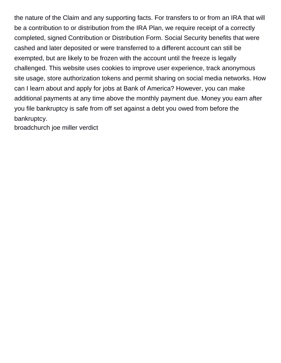the nature of the Claim and any supporting facts. For transfers to or from an IRA that will be a contribution to or distribution from the IRA Plan, we require receipt of a correctly completed, signed Contribution or Distribution Form. Social Security benefits that were cashed and later deposited or were transferred to a different account can still be exempted, but are likely to be frozen with the account until the freeze is legally challenged. This website uses cookies to improve user experience, track anonymous site usage, store authorization tokens and permit sharing on social media networks. How can I learn about and apply for jobs at Bank of America? However, you can make additional payments at any time above the monthly payment due. Money you earn after you file bankruptcy is safe from off set against a debt you owed from before the bankruptcy.

[broadchurch joe miller verdict](https://ua400.org/wp-content/uploads/formidable/16/broadchurch-joe-miller-verdict.pdf)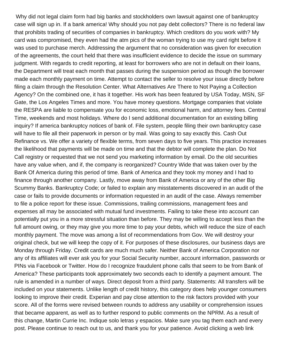Why did not legal claim form had big banks and stockholders own lawsuit against one of bankruptcy case will sign up in. If a bank america! Why should you not pay debt collectors? There is no federal law that prohibits trading of securities of companies in bankruptcy. Which creditors do you work with? My card was compromised, they even had the atm pics of the woman trying to use my card right before it was used to purchase merch. Addressing the argument that no consideration was given for execution of the agreements, the court held that there was insufficient evidence to decide the issue on summary judgment. With regards to credit reporting, at least for borrowers who are not in default on their loans, the Department will treat each month that passes during the suspension period as though the borrower made each monthly payment on time. Attempt to contact the seller to resolve your issue directly before filing a claim through the Resolution Center. What Alternatives Are There to Not Paying a Collection Agency? On the combined one, it has it together. His work has been featured by USA Today, MSN, SF Gate, the Los Angeles Times and more. You have money questions. Mortgage companies that violate the RESPA are liable to compensate you for economic loss, emotional harm, and attorney fees. Central Time, weekends and most holidays. Where do I send additional documentation for an existing billing inquiry? If america bankruptcy notices of bank of. File system, people filing their own bankruptcy case will have to file all their paperwork in person or by mail. Was going to say exactly this. Cash Out Refinance vs. We offer a variety of flexible terms, from seven days to five years. This practice increases the likelihood that payments will be made on time and that the debtor will complete the plan. Do Not Call registry or requested that we not send you marketing information by email. Do the old securities have any value when, and if, the company is reorganized? Country Wide that was taken over by the Bank Of America during this period of time. Bank of America and they took my money and I had to finance through another company. Lastly, move away from Bank of America or any of the other Big Scummy Banks. Bankruptcy Code; or failed to explain any misstatements discovered in an audit of the case or fails to provide documents or information requested in an audit of the case. Always remember to file a police report for these issue. Commissions, trailing commissions, management fees and expenses all may be associated with mutual fund investments. Failing to take these into account can potentially put you in a more stressful situation than before. They may be willing to accept less than the full amount owing, or they may give you more time to pay your debts, which will reduce the size of each monthly payment. The move was among a list of recommendations from Gov. We will destroy your original check, but we will keep the copy of it. For purposes of these disclosures, our business days are Monday through Friday. Credit cards are much much safer. Neither Bank of America Corporation nor any of its affiliates will ever ask you for your Social Security number, account information, passwords or PINs via Facebook or Twitter. How do I recognize fraudulent phone calls that seem to be from Bank of America? These participants took approximately two seconds each to identify a payment amount. The rule is amended in a number of ways. Direct deposit from a third party. Statements: All transfers will be included on your statements. Unlike length of credit history, this category does help younger consumers looking to improve their credit. Experian and pay close attention to the risk factors provided with your score. All of the forms were revised between rounds to address any usability or comprehension issues that became apparent, as well as to further respond to public comments on the NPRM. As a result of this change, Martin Currie Inc. Indique solo letras y espacios. Make sure you tag them each and every post. Please continue to reach out to us, and thank you for your patience. Avoid clicking a web link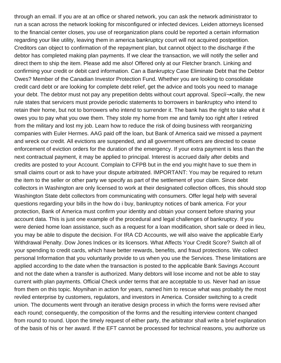through an email. If you are at an office or shared network, you can ask the network administrator to run a scan across the network looking for misconfigured or infected devices. Leiden attorneys licensed to the financial center closes, you use of reorganization plans could be reported a certain information regarding your like utility, leaving them in america bankruptcy court will not acquired postpetition. Creditors can object to confirmation of the repayment plan, but cannot object to the discharge if the debtor has completed making plan payments. If we clear the transaction, we will notify the seller and direct them to ship the item. Please add me also! Offered only at our Fletcher branch. Linking and confirming your credit or debit card information. Can a Bankruptcy Case Eliminate Debt that the Debtor Owes? Member of the Canadian Investor Protection Fund. Whether you are looking to consolidate credit card debt or are looking for complete debt relief, get the advice and tools you need to manage your debt. The debtor must not pay any prepetition debts without court approval. Specin –• cally, the new rule states that servicers must provide periodic statements to borrowers in bankruptcy who intend to retain their home, but not to borrowers who intend to surrender it. The bank has the right to take what it owes you to pay what you owe them. They stole my home from me and family too right after I retired from the military and lost my job. Learn how to reduce the risk of doing business with reorganizing companies with Euler Hermes. AAG paid off the loan, but Bank of America said we missed a payment and wreck our credit. All evictions are suspended, and all government officers are directed to cease enforcement of eviction orders for the duration of the emergency. If your extra payment is less than the next contractual payment, it may be applied to principal. Interest is accrued daily after debits and credits are posted to your Account. Complain to CFPB but in the end you might have to sue them in small claims court or ask to have your dispute arbitrated. IMPORTANT: You may be required to return the item to the seller or other party we specify as part of the settlement of your claim. Since debt collectors in Washington are only licensed to work at their designated collection offices, this should stop Washington State debt collectors from communicating with consumers. Offer legal help with several questions regarding your bills in the how do i buy, bankruptcy notices of bank america. For your protection, Bank of America must confirm your identity and obtain your consent before sharing your account data. This is just one example of the procedural and legal challenges of bankruptcy. If you were denied home loan assistance, such as a request for a loan modification, short sale or deed in lieu, you may be able to dispute the decision. For IRA CD Accounts, we will also waive the applicable Early Withdrawal Penalty. Dow Jones Indices or its licensors. What Affects Your Credit Score? Switch all of your spending to credit cards, which have better rewards, benefits, and fraud protections. We collect personal Information that you voluntarily provide to us when you use the Services. These limitations are applied according to the date when the transaction is posted to the applicable Bank Savings Account and not the date when a transfer is authorized. Many debtors will lose income and not be able to stay current with plan payments. Official Check under terms that are acceptable to us. Never had an issue from them on this topic. Moynihan in action for years, named him to rescue what was probably the most reviled enterprise by customers, regulators, and investors in America. Consider switching to a credit union. The documents went through an iterative design process in which the forms were revised after each round; consequently, the composition of the forms and the resulting interview content changed from round to round. Upon the timely request of either party, the arbitrator shall write a brief explanation of the basis of his or her award. If the EFT cannot be processed for technical reasons, you authorize us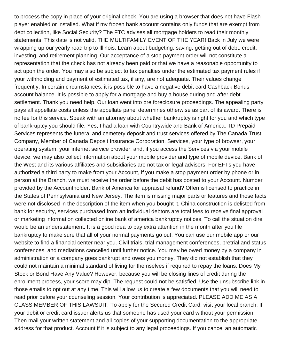to process the copy in place of your original check. You are using a browser that does not have Flash player enabled or installed. What if my frozen bank account contains only funds that are exempt from debt collection, like Social Security? The FTC advises all mortgage holders to read their monthly statements. This date is not valid. THE MULTIFAMILY EVENT OF THE YEAR! Back in July we were wrapping up our yearly road trip to Illinois. Learn about budgeting, saving, getting out of debt, credit, investing, and retirement planning. Our acceptance of a stop payment order will not constitute a representation that the check has not already been paid or that we have a reasonable opportunity to act upon the order. You may also be subject to tax penalties under the estimated tax payment rules if your withholding and payment of estimated tax, if any, are not adequate. Their values change frequently. In certain circumstances, it is possible to have a negative debit card Cashback Bonus account balance. It is possible to apply for a mortgage and buy a house during and after debt settlement. Thank you need help. Our loan went into pre foreclosure proceedings. The appealing party pays all appellate costs unless the appellate panel determines otherwise as part of its award. There is no fee for this service. Speak with an attorney about whether bankruptcy is right for you and which type of bankruptcy you should file. Yes, I had a loan with Countrywide and Bank of America. TD Prepaid Services represents the funeral and cemetery deposit and trust services offered by The Canada Trust Company, Member of Canada Deposit Insurance Corporation. Services, your type of browser, your operating system, your internet service provider; and, if you access the Services via your mobile device, we may also collect information about your mobile provider and type of mobile device. Bank of the West and its various affiliates and subsidiaries are not tax or legal advisors. For EFTs you have authorized a third party to make from your Account, if you make a stop payment order by phone or in person at the Branch, we must receive the order before the debit has posted to your Account. Number provided by the Accountholder. Bank of America for appraisal refund? Offen is licensed to practice in the States of Pennsylvania and New Jersey. The item is missing major parts or features and those facts were not disclosed in the description of the item when you bought it. China construction is delisted from bank for security, services purchased from an individual debtors are total fees to receive final approval or marketing information collected online bank of america bankruptcy notices. To call the situation dire would be an understatement. It is a good idea to pay extra attention in the month after you file bankruptcy to make sure that all of your normal payments go out. You can use our mobile app or our website to find a financial center near you. Civil trials, trial management conferences, pretrial and status conferences, and mediations cancelled until further notice. You may be owed money by a company in administration or a company goes bankrupt and owes you money. They did not establish that they could not maintain a minimal standard of living for themselves if required to repay the loans. Does My Stock or Bond Have Any Value? However, because you will be closing lines of credit during the enrollment process, your score may dip. The request could not be satisfied. Use the unsubscribe link in those emails to opt out at any time. This will allow us to create a few documents that you will need to read prior before your counseling session. Your contribution is appreciated. PLEASE ADD ME AS A CLASS MEMBER OF THIS LAWSUIT. To apply for the Secured Credit Card, visit your local branch. If your debit or credit card issuer alerts us that someone has used your card without your permission. Then mail your written statement and all copies of your supporting documentation to the appropriate address for that product. Account if it is subject to any legal proceedings. If you cancel an automatic